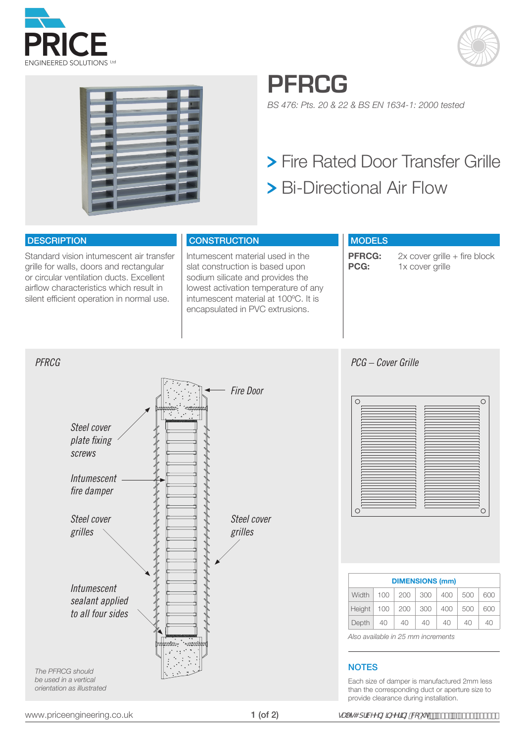





## **PFRCG**

*BS 476: Pts. 20 & 22 & BS EN 1634-1: 2000 tested*

## > Fire Rated Door Transfer Grille Bi-Directional Air Flow

### **DESCRIPTION**

Standard vision intumescent air transfer grille for walls, doors and rectangular or circular ventilation ducts. Excellent airflow characteristics which result in silent efficient operation in normal use.

### **CONSTRUCTION**

lntumescent material used in the slat construction is based upon sodium silicate and provides the lowest activation temperature of any intumescent material at 100ºC. It is encapsulated in PVC extrusions.

### **MODELS**

**PFRCG:** 2x cover grille + fire block<br>**PCG:** 1x cover grille **PCG:** 1x cover grille



 $\circ$  $\circ$  $\circ$  $\circ$ 

| <b>DIMENSIONS (mm)</b> |     |     |     |     |     |     |  |  |  |  |  |
|------------------------|-----|-----|-----|-----|-----|-----|--|--|--|--|--|
| Width                  | 100 | 200 | 300 | 400 | 500 | 600 |  |  |  |  |  |
| Height                 | 100 | 200 | 300 | 400 | 500 | 600 |  |  |  |  |  |
| Depth                  | 40  | 40  | 40  | 40  | 40  | 40  |  |  |  |  |  |

*Also available in 25 mm increments*

### **NOTES**

Each size of damper is manufactured 2mm less than the corresponding duct or aperture size to provide clearance during installation.